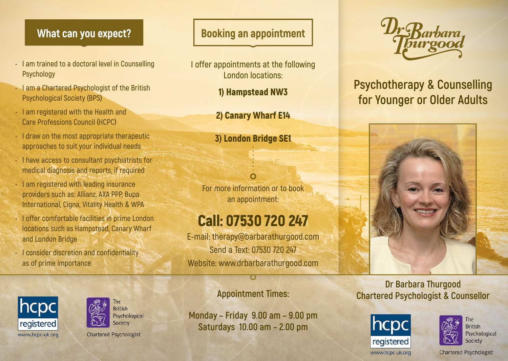- **• I am trained to a doctoral level in Counselling Psychology**
- **• I am a Chartered Psychologist of the British Psychological Society** (**BPS**)
- **• I am registered with the Health and Care Professions Council** (**HCPC**)
- **• I draw on the most appropriate therapeutic approaches to suit your individual needs**
- **• I have access to consultant psychiatrists for medical diagnosis and reports, if required**
- **• I am registered with leading insurance providers such as: Allianz, AXA PPP, Bupa International, Cigna, Vitality Health & WPA**
- **• I offer comfortable facilities in prime London locations such as Hampstead, Canary Wharf and London Bridge**

**The** 

**British** Psychological

Society

**Chartered Psychologist** 

**• I consider discretion and confidentiality as of prime importance**

hcpc

registered

www.hcpc-uk.org

## **What can you expect? Booking an appointment**

- **I offer appointments at the following London locations:**
	- 1**)** Hampstead NW3
	- 2**)** Canary Wharf E14
	- 3**)** London Bridge SE1

**For more information or to book an appointment:**

# Call: 07530 720 247

**E-mail: therapy@barbarathurgood.com Send a Text: 07530 720 247 Website: www.drbarbarathurgood.com** 

#### **Appointment Times:**

**Monday – Friday 9.00 am – 9.00 pm Saturdays 10.00 am – 2.00 pm**



## **Psychotherapy & Counselling for Younger or Older Adults**



#### **Dr Barbara Thurgood Chartered Psychologist & Counsellor**



www.hcpc-uk.org



**British** Psychological Society

**Chartered Psychologist**